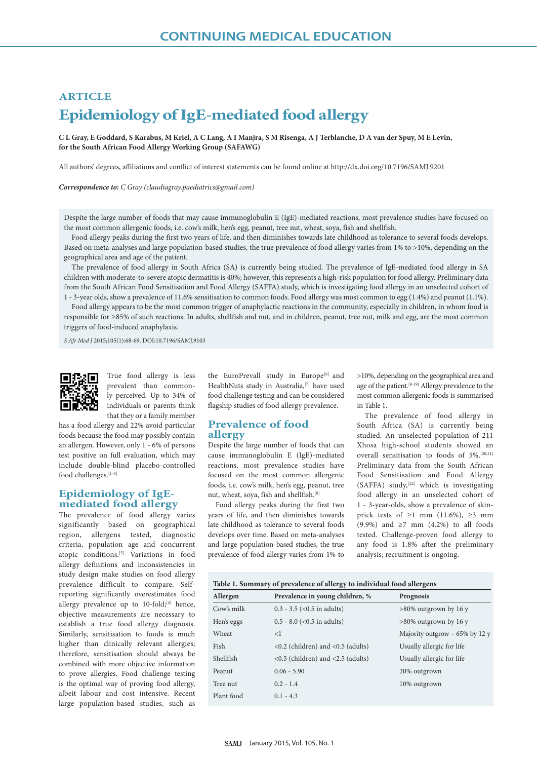# **ARTICLE Epidemiology of IgE-mediated food allergy**

**C L Gray, E Goddard, S Karabus, M Kriel, A C Lang, A I Manjra, S M Risenga, A J Terblanche, D A van der Spuy, M E Levin, for the South African Food Allergy Working Group (SAFAWG)** 

All authors' degrees, affiliations and conflict of interest statements can be found online at http://dx.doi.org/10.7196/SAMJ.9201

*Correspondence to: C Gray (claudiagray.paediatrics@gmail.com)*

Despite the large number of foods that may cause immunoglobulin E (IgE)-mediated reactions, most prevalence studies have focused on the most common allergenic foods, i.e. cow's milk, hen's egg, peanut, tree nut, wheat, soya, fish and shellfish.

Food allergy peaks during the first two years of life, and then diminishes towards late childhood as tolerance to several foods develops. Based on meta-analyses and large population-based studies, the true prevalence of food allergy varies from 1% to >10%, depending on the geographical area and age of the patient.

The prevalence of food allergy in South Africa (SA) is currently being studied. The prevalence of IgE-mediated food allergy in SA children with moderate-to-severe atopic dermatitis is 40%; however, this represents a high-risk population for food allergy. Preliminary data from the South African Food Sensitisation and Food Allergy (SAFFA) study, which is investigating food allergy in an unselected cohort of 1 - 3-year olds, show a prevalence of 11.6% sensitisation to common foods. Food allergy was most common to egg (1.4%) and peanut (1.1%).

Food allergy appears to be the most common trigger of anaphylactic reactions in the community, especially in children, in whom food is responsible for ≥85% of such reactions. In adults, shellfish and nut, and in children, peanut, tree nut, milk and egg, are the most common triggers of food-induced anaphylaxis.

*S Afr Med J* 2015;105(1):68-69. DOI:10.7196/SAMJ.9103



True food allergy is less prevalent than commonly perceived. Up to 34% of individuals or parents think that they or a family member

has a food allergy and 22% avoid particular foods because the food may possibly contain an allergen. However, only 1 - 6% of persons test positive on full evaluation, which may include double-blind placebo-controlled food challenges.  $\left[1\text{-}4\right]$ 

## **Epidemiology of IgEmediated food allergy**

The prevalence of food allergy varies significantly based on geographical region, allergens tested, diagnostic criteria, population age and concurrent atopic conditions.[5] Variations in food allergy definitions and inconsistencies in study design make studies on food allergy prevalence difficult to compare. Selfreporting significantly overestimates food allergy prevalence up to 10-fold;<sup>[4]</sup> hence, objective measurements are necessary to establish a true food allergy diagnosis. Similarly, sensitisation to foods is much higher than clinically relevant allergies; therefore, sensitisation should always be combined with more objective information to prove allergies. Food challenge testing is the optimal way of proving food allergy, albeit labour and cost intensive. Recent large population-based studies, such as

the EuroPrevall study in Europe<sup>[6]</sup> and HealthNuts study in Australia,<sup>[7]</sup> have used food challenge testing and can be considered flagship studies of food allergy prevalence.

## **Prevalence of food allergy**

Despite the large number of foods that can cause immunoglobulin E (IgE)-mediated reactions, most prevalence studies have focused on the most common allergenic foods, i.e. cow's milk, hen's egg, peanut, tree nut, wheat, soya, fish and shellfish.<sup>[8]</sup>

Food allergy peaks during the first two years of life, and then diminishes towards late childhood as tolerance to several foods develops over time. Based on meta-analyses and large population-based studies, the true prevalence of food allergy varies from 1% to

>10%, depending on the geographical area and age of the patient.<sup>[9-19]</sup> Allergy prevalence to the most common allergenic foods is summarised in Table 1.

The prevalence of food allergy in South Africa (SA) is currently being studied. An unselected population of 211 Xhosa high-school students showed an overall sensitisation to foods of 5%.[20,21] Preliminary data from the South African Food Sensitisation and Food Allergy (SAFFA) study,[22] which is investigating food allergy in an unselected cohort of 1 - 3-year-olds, show a prevalence of skinprick tests of  $\geq 1$  mm (11.6%),  $\geq 3$  mm (9.9%) and  $\geq 7$  mm (4.2%) to all foods tested. Challenge-proven food allergy to any food is 1.8% after the preliminary analysis; recruitment is ongoing.

#### **Table 1. Summary of prevalence of allergy to individual food allergens**

| Allergen   | Prevalence in young children, %                                     | Prognosis                        |
|------------|---------------------------------------------------------------------|----------------------------------|
| Cow's milk | $0.3 - 3.5$ (< $0.5$ in adults)                                     | $>80\%$ outgrown by 16 y         |
| Hen's eggs | $0.5 - 8.0$ (< $0.5$ in adults)                                     | $>80\%$ outgrown by 16 y         |
| Wheat      | $\leq$ 1                                                            | Majority outgrow $-65\%$ by 12 y |
| Fish       | $\langle 0.2 \rangle$ (children) and $\langle 0.5 \rangle$ (adults) | Usually allergic for life        |
| Shellfish  | $\langle 0.5 \rangle$ (children) and $\langle 2.5 \rangle$ (adults) | Usually allergic for life        |
| Peanut     | $0.06 - 5.90$                                                       | 20% outgrown                     |
| Tree nut   | $0.2 - 1.4$                                                         | 10% outgrown                     |
| Plant food | $0.1 - 4.3$                                                         |                                  |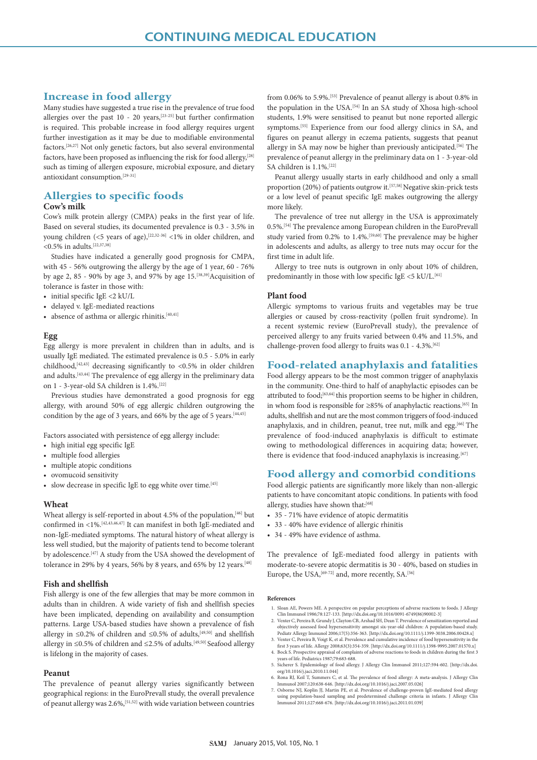# **Increase in food allergy**

Many studies have suggested a true rise in the prevalence of true food allergies over the past 10 - 20 years,[23-25] but further confirmation is required. This probable increase in food allergy requires urgent further investigation as it may be due to modifiable environmental factors.[26,27] Not only genetic factors, but also several environmental factors, have been proposed as influencing the risk for food allergy, [28] such as timing of allergen exposure, microbial exposure, and dietary antioxidant consumption.[29-31]

# **Allergies to specific foods**

## **Cow's milk**

Cow's milk protein allergy (CMPA) peaks in the first year of life. Based on several studies, its documented prevalence is 0.3 - 3.5% in young children (<5 years of age),  $[22,32-36]$  <1% in older children, and  $<$ 0.5% in adults.<sup>[22,37,38]</sup>

Studies have indicated a generally good prognosis for CMPA, with 45 - 56% outgrowing the allergy by the age of 1 year, 60 - 76% by age 2, 85 - 90% by age 3, and 97% by age 15.<sup>[38,39]</sup>Acquisition of tolerance is faster in those with:

- initial specific IgE <2 kU/L
- delayed v. IgE-mediated reactions
- absence of asthma or allergic rhinitis. $[40,41]$

## **Egg**

Egg allergy is more prevalent in children than in adults, and is usually IgE mediated. The estimated prevalence is 0.5 - 5.0% in early childhood,  $[42, 43]$  decreasing significantly to <0.5% in older children and adults.  $\left[43,44\right]$  The prevalence of egg allergy in the preliminary data on 1 - 3-year-old SA children is 1.4%.[22]

Previous studies have demonstrated a good prognosis for egg allergy, with around 50% of egg allergic children outgrowing the condition by the age of 3 years, and 66% by the age of 5 years.<sup>[44,45]</sup>

Factors associated with persistence of egg allergy include:

- high initial egg specific IgE
- multiple food allergies
- multiple atopic conditions
- ovomucoid sensitivity
- slow decrease in specific IgE to egg white over time.<sup>[45]</sup>

## **Wheat**

Wheat allergy is self-reported in about 4.5% of the population,<sup>[46]</sup> but confirmed in <1%.[42,43,46,47] It can manifest in both IgE-mediated and non-IgE-mediated symptoms. The natural history of wheat allergy is less well studied, but the majority of patients tend to become tolerant by adolescence.[47] A study from the USA showed the development of tolerance in 29% by 4 years, 56% by 8 years, and 65% by 12 years.<sup>[48]</sup>

## **Fish and shellfish**

Fish allergy is one of the few allergies that may be more common in adults than in children. A wide variety of fish and shellfish species have been implicated, depending on availability and consumption patterns. Large USA-based studies have shown a prevalence of fish allergy in ≤0.2% of children and ≤0.5% of adults,  $^{[49,50]}$  and shellfish allergy in ≤0.5% of children and ≤2.5% of adults.[49,50] Seafood allergy is lifelong in the majority of cases.

#### **Peanut**

The prevalence of peanut allergy varies significantly between geographical regions: in the EuroPrevall study, the overall prevalence of peanut allergy was  $2.6\%,$ <sup>[51,52]</sup> with wide variation between countries

from 0.06% to 5.9%.[53] Prevalence of peanut allergy is about 0.8% in the population in the USA.[54] In an SA study of Xhosa high-school students, 1.9% were sensitised to peanut but none reported allergic symptoms.[55] Experience from our food allergy clinics in SA, and figures on peanut allergy in eczema patients, suggests that peanut allergy in SA may now be higher than previously anticipated.[56] The prevalence of peanut allergy in the preliminary data on 1 - 3-year-old SA children is 1.1%.<sup>[22]</sup>

Peanut allergy usually starts in early childhood and only a small proportion (20%) of patients outgrow it.<sup>[57,58]</sup> Negative skin-prick tests or a low level of peanut specific IgE makes outgrowing the allergy more likely.

The prevalence of tree nut allergy in the USA is approximately 0.5%.[54] The prevalence among European children in the EuroPrevall study varied from 0.2% to 1.4%.[59,60] The prevalence may be higher in adolescents and adults, as allergy to tree nuts may occur for the first time in adult life.

Allergy to tree nuts is outgrown in only about 10% of children, predominantly in those with low specific IgE <5 kU/L.<sup>[61]</sup>

#### **Plant food**

Allergic symptoms to various fruits and vegetables may be true allergies or caused by cross-reactivity (pollen fruit syndrome). In a recent systemic review (EuroPrevall study), the prevalence of perceived allergy to any fruits varied between 0.4% and 11.5%, and challenge-proven food allergy to fruits was  $0.1 - 4.3\%$ .<sup>[62]</sup>

## **Food-related anaphylaxis and fatalities**

Food allergy appears to be the most common trigger of anaphylaxis in the community. One-third to half of anaphylactic episodes can be attributed to food;[63,64] this proportion seems to be higher in children, in whom food is responsible for ≥85% of anaphylactic reactions.[65] In adults, shellfish and nut are the most common triggers of food-induced anaphylaxis, and in children, peanut, tree nut, milk and egg.<sup>[66]</sup> The prevalence of food-induced anaphylaxis is difficult to estimate owing to methodological differences in acquiring data; however, there is evidence that food-induced anaphylaxis is increasing.<sup>[67]</sup>

## **Food allergy and comorbid conditions**

Food allergic patients are significantly more likely than non-allergic patients to have concomitant atopic conditions. In patients with food allergy, studies have shown that:[68]

- 35 71% have evidence of atopic dermatitis
- 33 40% have evidence of allergic rhinitis
- 34 49% have evidence of asthma.

The prevalence of IgE-mediated food allergy in patients with moderate-to-severe atopic dermatitis is 30 - 40%, based on studies in Europe, the USA,  $[69-72]$  and, more recently, SA.<sup>[56]</sup>

#### **References**

- 1. Sloan AE, Powers ME. A perspective on popular perceptions of adverse reactions to foods. J Allergy<br>Clin Immunol 1986;78:127-133. [http://dx.doi.org/10.1016/0091-6749(86)90002-3]<br>2. Venter C, Pereira B, Grundy J, Clayton
- objectively assessed food hypersensitivity amongst six-year-old children: A population-based study. Pediatr Allergy Immunol 2006;17(5):356-363. [http://dx.doi.org/10.1111/j.1399-3038.2006.00428.x]
- 3. Venter C, Pereira B, Voigt K, et al. Prevalence and cumulative incidence of food hypersensitivity in the first 3 years of life. Allergy 2008;63(3):354-359. [http://dx.doi.org/10.1111/j.1398-9995.2007.01570.x]
- 4. Bock S. Prospective appraisal of complaints of adverse reactions to foods in children during the first 3 years of life. Pediatrics 1987;79:683-688.
- 5. Sicherer S. Epidemiology of food allergy. J Allergy Clin Immunol 2011;127:594-602. [http://dx.doi. org/10.1016/j.jaci.2010.11.044]
- 
- 6. Rona RJ, Keil T, Summers C, et al. The prevalence of food allergy: A meta-analysis. J Allergy Clin Immunol 2007;120:638-646. [http://dx.doi.org/10.1016/j.jaci.2007.05.026]<br>7. Osborne NJ, Koplin JJ, Martin PE, et al. Pre Immunol 2011;127:668-676. [http://dx.doi.org/10.1016/j.jaci.2011.01.039]